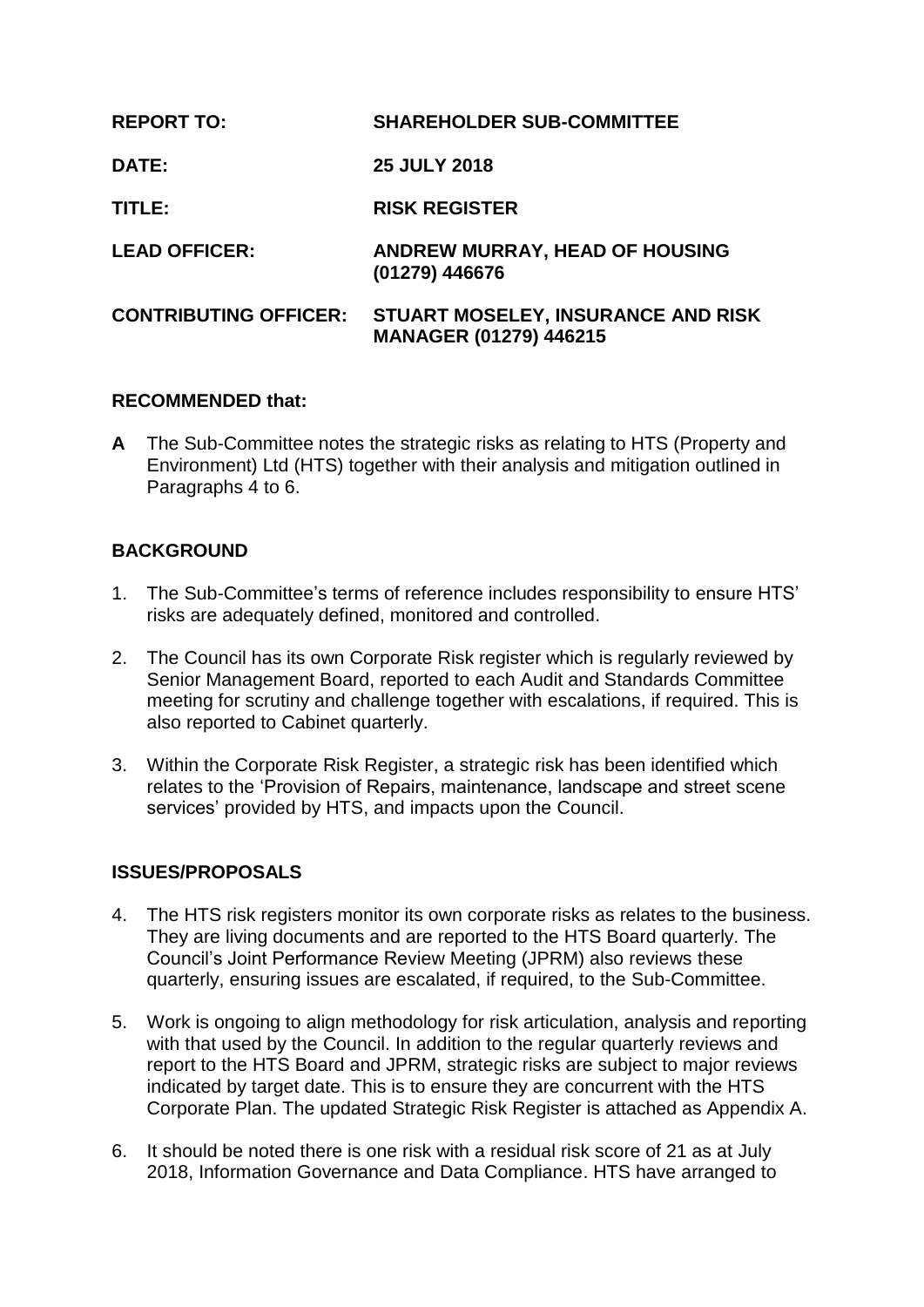| <b>REPORT TO:</b>            | <b>SHAREHOLDER SUB-COMMITTEE</b>                                    |
|------------------------------|---------------------------------------------------------------------|
| <b>DATE:</b>                 | <b>25 JULY 2018</b>                                                 |
| TITLE:                       | <b>RISK REGISTER</b>                                                |
| <b>LEAD OFFICER:</b>         | <b>ANDREW MURRAY, HEAD OF HOUSING</b><br>(01279) 446676             |
| <b>CONTRIBUTING OFFICER:</b> | STUART MOSELEY, INSURANCE AND RISK<br><b>MANAGER (01279) 446215</b> |

## **RECOMMENDED that:**

**A** The Sub-Committee notes the strategic risks as relating to HTS (Property and Environment) Ltd (HTS) together with their analysis and mitigation outlined in Paragraphs 4 to 6.

# **BACKGROUND**

- 1. The Sub-Committee's terms of reference includes responsibility to ensure HTS' risks are adequately defined, monitored and controlled.
- 2. The Council has its own Corporate Risk register which is regularly reviewed by Senior Management Board, reported to each Audit and Standards Committee meeting for scrutiny and challenge together with escalations, if required. This is also reported to Cabinet quarterly.
- 3. Within the Corporate Risk Register, a strategic risk has been identified which relates to the 'Provision of Repairs, maintenance, landscape and street scene services' provided by HTS, and impacts upon the Council.

## **ISSUES/PROPOSALS**

- 4. The HTS risk registers monitor its own corporate risks as relates to the business. They are living documents and are reported to the HTS Board quarterly. The Council's Joint Performance Review Meeting (JPRM) also reviews these quarterly, ensuring issues are escalated, if required, to the Sub-Committee.
- 5. Work is ongoing to align methodology for risk articulation, analysis and reporting with that used by the Council. In addition to the regular quarterly reviews and report to the HTS Board and JPRM, strategic risks are subject to major reviews indicated by target date. This is to ensure they are concurrent with the HTS Corporate Plan. The updated Strategic Risk Register is attached as Appendix A.
- 6. It should be noted there is one risk with a residual risk score of 21 as at July 2018, Information Governance and Data Compliance. HTS have arranged to